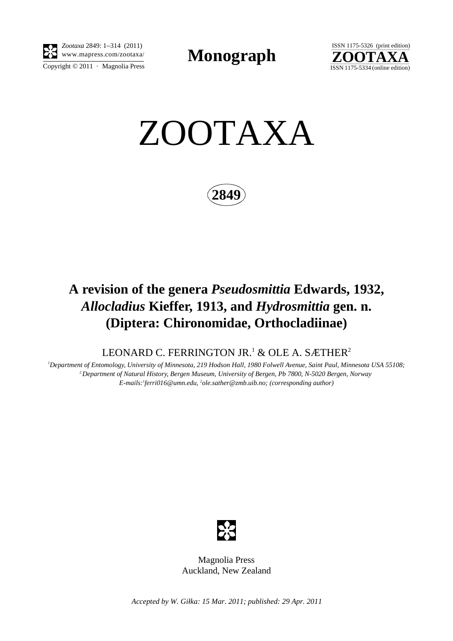

Copyright  $© 2011$  · Magnolia Press *Zootaxa* 2849: 1–314 (2011)

**Monograph** 



ZOOTAXA

**2849**

## **A revision of the genera** *Pseudosmittia* **Edwards, 1932,**  *Allocladius* **Kieffer, 1913, and** *Hydrosmittia* **gen. n. (Diptera: Chironomidae, Orthocladiinae)**

LEONARD C. FERRINGTON JR. $^1$  & OLE A. SÆTHER $^2$ 

*1 Department of Entomology, University of Minnesota, 219 Hodson Hall, 1980 Folwell Avenue, Saint Paul, Minnesota USA 55108; 2 Department of Natural History, Bergen Museum, University of Bergen, Pb 7800, N-5020 Bergen, Norway E-mails:1 ferri016@umn.edu, 2 ole.sather@zmb.uib.no; (corresponding author)*



Magnolia Press Auckland, New Zealand

*Accepted by W. Giłka: 15 Mar. 2011; published: 29 Apr. 2011*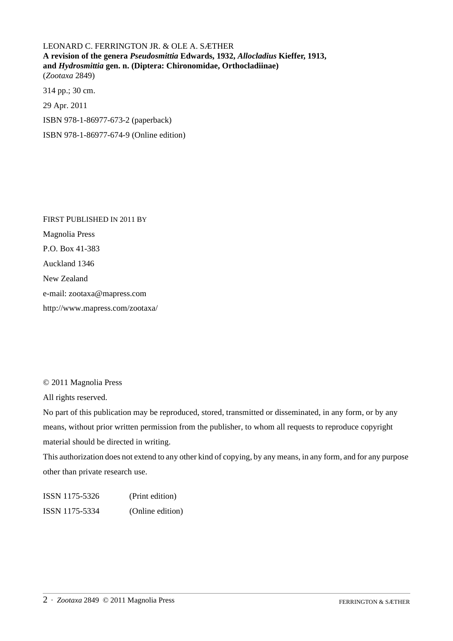LEONARD C. FERRINGTON JR. & OLE A. SÆTHER **A revision of the genera** *Pseudosmittia* **Edwards, 1932,** *Allocladius* **Kieffer, 1913, and** *Hydrosmittia* **gen. n. (Diptera: Chironomidae, Orthocladiinae)** (*Zootaxa* 2849)

314 pp.; 30 cm. 29 Apr. 2011 ISBN 978-1-86977-673-2 (paperback) ISBN 978-1-86977-674-9 (Online edition)

FIRST PUBLISHED IN 2011 BY Magnolia Press P.O. Box 41-383 Auckland 1346 New Zealand e-mail: zootaxa@mapress.com http://www.mapress.com/zootaxa/

© 2011 Magnolia Press

All rights reserved.

No part of this publication may be reproduced, stored, transmitted or disseminated, in any form, or by any means, without prior written permission from the publisher, to whom all requests to reproduce copyright material should be directed in writing.

This authorization does not extend to any other kind of copying, by any means, in any form, and for any purpose other than private research use.

ISSN 1175-5326 (Print edition) ISSN 1175-5334 (Online edition)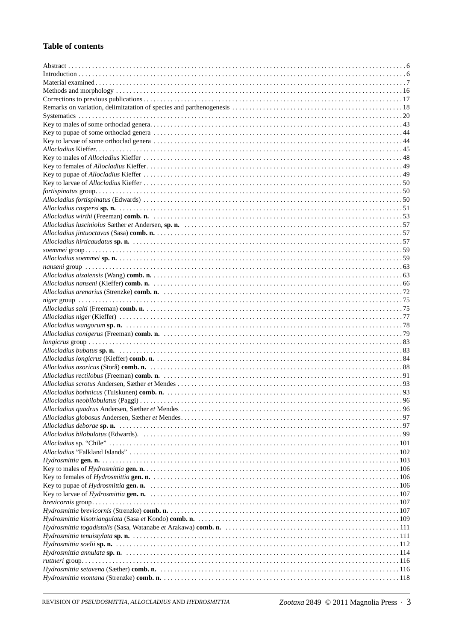## **Table of contents**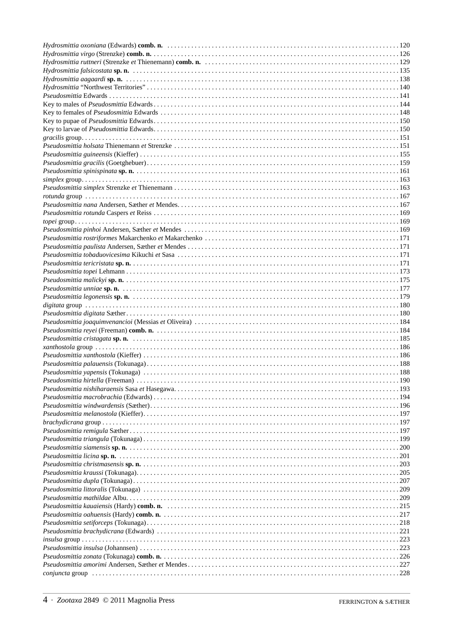|                               | 221 |
|-------------------------------|-----|
|                               |     |
|                               |     |
|                               |     |
|                               |     |
| $conjuncta group \dots 11228$ |     |